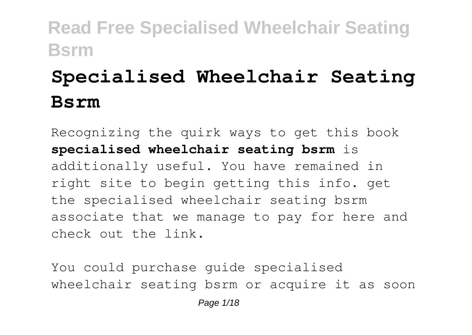# **Specialised Wheelchair Seating Bsrm**

Recognizing the quirk ways to get this book **specialised wheelchair seating bsrm** is additionally useful. You have remained in right site to begin getting this info. get the specialised wheelchair seating bsrm associate that we manage to pay for here and check out the link.

You could purchase guide specialised wheelchair seating bsrm or acquire it as soon

Page  $1/18$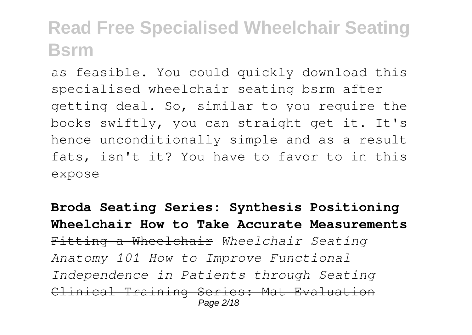as feasible. You could quickly download this specialised wheelchair seating bsrm after getting deal. So, similar to you require the books swiftly, you can straight get it. It's hence unconditionally simple and as a result fats, isn't it? You have to favor to in this expose

**Broda Seating Series: Synthesis Positioning Wheelchair How to Take Accurate Measurements** Fitting a Wheelchair *Wheelchair Seating Anatomy 101 How to Improve Functional Independence in Patients through Seating* Clinical Training Series: Mat Evaluation Page 2/18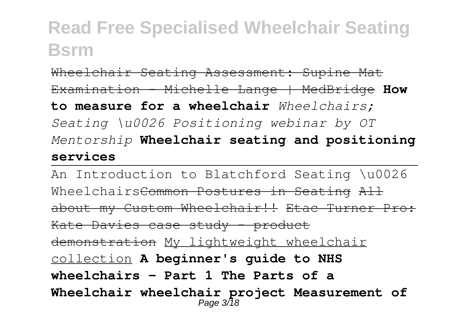Wheelchair Seating Assessment: Supine Mat Examination - Michelle Lange | MedBridge **How to measure for a wheelchair** *Wheelchairs; Seating \u0026 Positioning webinar by OT Mentorship* **Wheelchair seating and positioning services**

An Introduction to Blatchford Seating \u0026 Wheelchairs<del>Common Postures in Seating All</del> about my Custom Wheelchair!! Etac Turner Pro: Kate Davies case study - product demonstration My lightweight wheelchair collection **A beginner's guide to NHS wheelchairs - Part 1 The Parts of a Wheelchair wheelchair project Measurement of** Page 3/18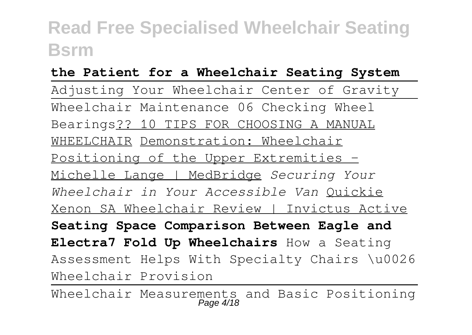#### **the Patient for a Wheelchair Seating System**

Adjusting Your Wheelchair Center of Gravity Wheelchair Maintenance 06 Checking Wheel Bearings?? 10 TIPS FOR CHOOSING A MANUAL WHEELCHAIR Demonstration: Wheelchair Positioning of the Upper Extremities - Michelle Lange | MedBridge *Securing Your Wheelchair in Your Accessible Van* Quickie Xenon SA Wheelchair Review | Invictus Active **Seating Space Comparison Between Eagle and Electra7 Fold Up Wheelchairs** How a Seating Assessment Helps With Specialty Chairs \u0026 Wheelchair Provision

Wheelchair Measurements and Basic Positioning Page 4/18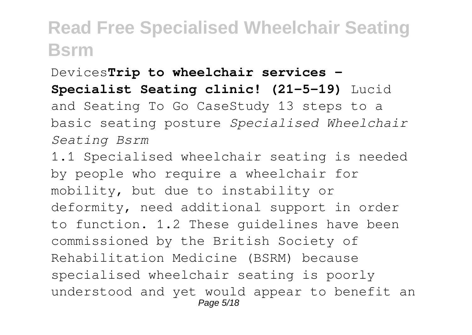#### Devices**Trip to wheelchair services -**

#### **Specialist Seating clinic! (21-5-19)** Lucid

and Seating To Go CaseStudy 13 steps to a basic seating posture *Specialised Wheelchair Seating Bsrm*

1.1 Specialised wheelchair seating is needed by people who require a wheelchair for mobility, but due to instability or deformity, need additional support in order to function. 1.2 These guidelines have been commissioned by the British Society of Rehabilitation Medicine (BSRM) because specialised wheelchair seating is poorly understood and yet would appear to benefit an Page 5/18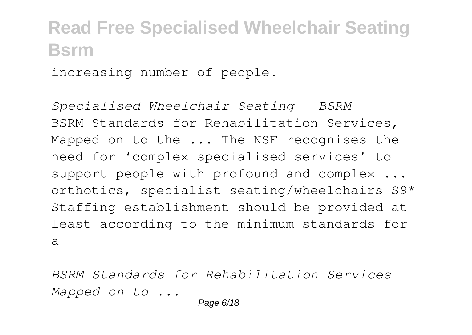increasing number of people.

*Specialised Wheelchair Seating - BSRM* BSRM Standards for Rehabilitation Services, Mapped on to the ... The NSF recognises the need for 'complex specialised services' to support people with profound and complex ... orthotics, specialist seating/wheelchairs S9\* Staffing establishment should be provided at least according to the minimum standards for a

*BSRM Standards for Rehabilitation Services Mapped on to ...*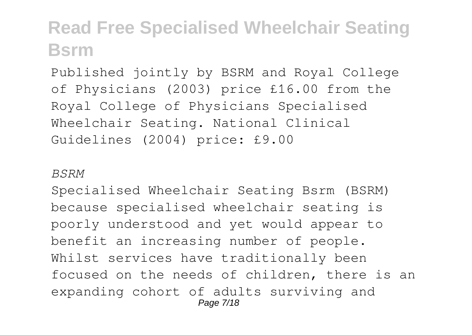Published jointly by BSRM and Royal College of Physicians (2003) price £16.00 from the Royal College of Physicians Specialised Wheelchair Seating. National Clinical Guidelines (2004) price: £9.00

#### *BSRM*

Specialised Wheelchair Seating Bsrm (BSRM) because specialised wheelchair seating is poorly understood and yet would appear to benefit an increasing number of people. Whilst services have traditionally been focused on the needs of children, there is an expanding cohort of adults surviving and Page 7/18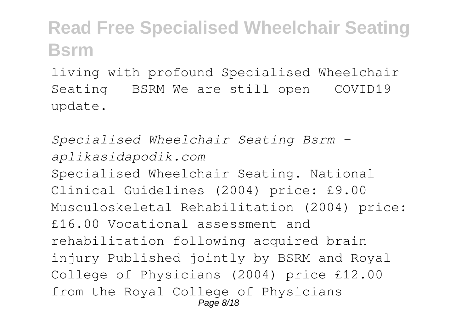living with profound Specialised Wheelchair Seating - BSRM We are still open - COVID19 update.

*Specialised Wheelchair Seating Bsrm aplikasidapodik.com* Specialised Wheelchair Seating. National Clinical Guidelines (2004) price: £9.00 Musculoskeletal Rehabilitation (2004) price: £16.00 Vocational assessment and rehabilitation following acquired brain injury Published jointly by BSRM and Royal College of Physicians (2004) price £12.00 from the Royal College of Physicians Page 8/18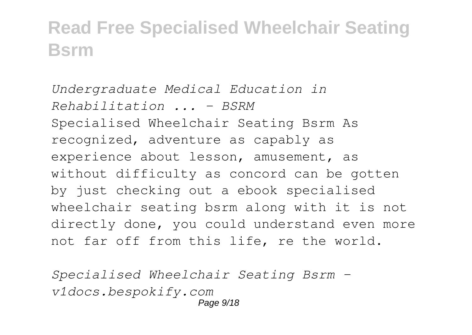*Undergraduate Medical Education in Rehabilitation ... - BSRM* Specialised Wheelchair Seating Bsrm As recognized, adventure as capably as experience about lesson, amusement, as without difficulty as concord can be gotten by just checking out a ebook specialised wheelchair seating bsrm along with it is not directly done, you could understand even more not far off from this life, re the world.

*Specialised Wheelchair Seating Bsrm v1docs.bespokify.com* Page  $9/18$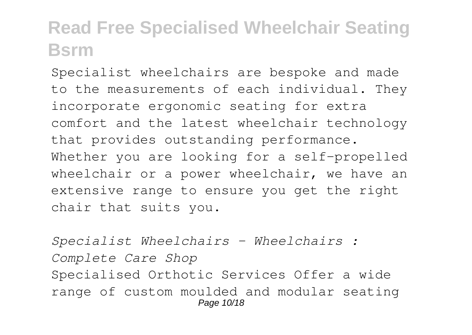Specialist wheelchairs are bespoke and made to the measurements of each individual. They incorporate ergonomic seating for extra comfort and the latest wheelchair technology that provides outstanding performance. Whether you are looking for a self-propelled wheelchair or a power wheelchair, we have an extensive range to ensure you get the right chair that suits you.

*Specialist Wheelchairs - Wheelchairs : Complete Care Shop* Specialised Orthotic Services Offer a wide range of custom moulded and modular seating Page 10/18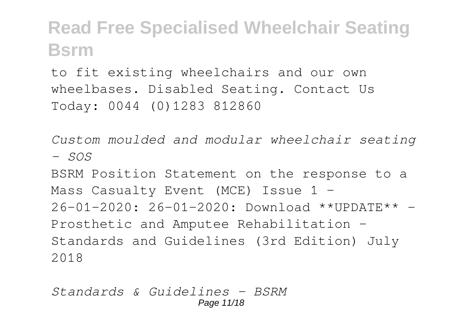to fit existing wheelchairs and our own wheelbases. Disabled Seating. Contact Us Today: 0044 (0)1283 812860

*Custom moulded and modular wheelchair seating - SOS*

BSRM Position Statement on the response to a Mass Casualty Event (MCE) Issue 1 – 26-01-2020: 26-01-2020: Download \*\*UPDATE\*\* - Prosthetic and Amputee Rehabilitation - Standards and Guidelines (3rd Edition) July 2018

*Standards & Guidelines - BSRM* Page 11/18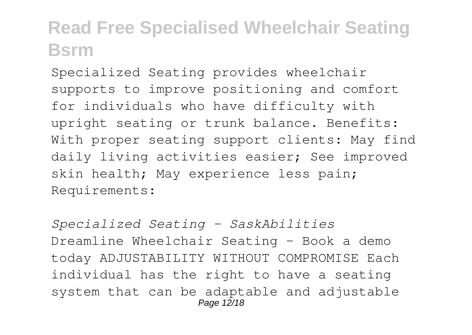Specialized Seating provides wheelchair supports to improve positioning and comfort for individuals who have difficulty with upright seating or trunk balance. Benefits: With proper seating support clients: May find daily living activities easier; See improved skin health; May experience less pain; Requirements:

*Specialized Seating - SaskAbilities* Dreamline Wheelchair Seating - Book a demo today ADJUSTABILITY WITHOUT COMPROMISE Each individual has the right to have a seating system that can be adaptable and adjustable Page 12/18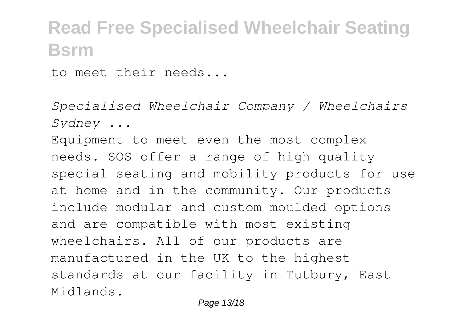to meet their needs...

*Specialised Wheelchair Company / Wheelchairs Sydney ...*

Equipment to meet even the most complex needs. SOS offer a range of high quality special seating and mobility products for use at home and in the community. Our products include modular and custom moulded options and are compatible with most existing wheelchairs. All of our products are manufactured in the UK to the highest standards at our facility in Tutbury, East Midlands.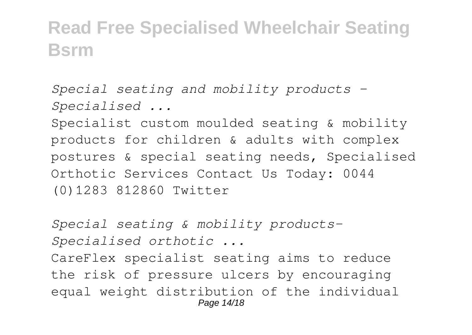*Special seating and mobility products - Specialised ...*

Specialist custom moulded seating & mobility products for children & adults with complex postures & special seating needs, Specialised Orthotic Services Contact Us Today: 0044 (0)1283 812860 Twitter

*Special seating & mobility products-Specialised orthotic ...*

CareFlex specialist seating aims to reduce the risk of pressure ulcers by encouraging equal weight distribution of the individual Page 14/18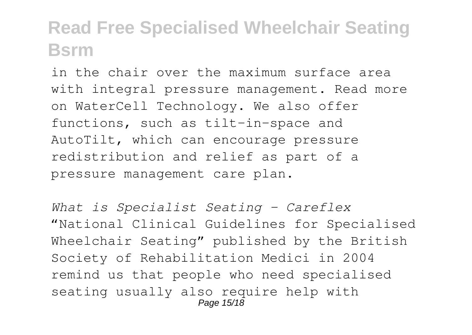in the chair over the maximum surface area with integral pressure management. Read more on WaterCell Technology. We also offer functions, such as tilt-in-space and AutoTilt, which can encourage pressure redistribution and relief as part of a pressure management care plan.

*What is Specialist Seating - Careflex* "National Clinical Guidelines for Specialised Wheelchair Seating" published by the British Society of Rehabilitation Medici in 2004 remind us that people who need specialised seating usually also require help with Page 15/18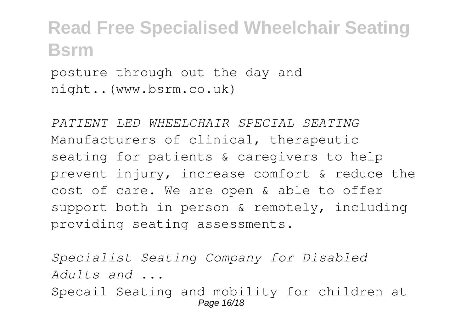posture through out the day and night..(www.bsrm.co.uk)

*PATIENT LED WHEELCHAIR SPECIAL SEATING* Manufacturers of clinical, therapeutic seating for patients & caregivers to help prevent injury, increase comfort & reduce the cost of care. We are open & able to offer support both in person & remotely, including providing seating assessments.

*Specialist Seating Company for Disabled Adults and ...* Specail Seating and mobility for children at Page 16/18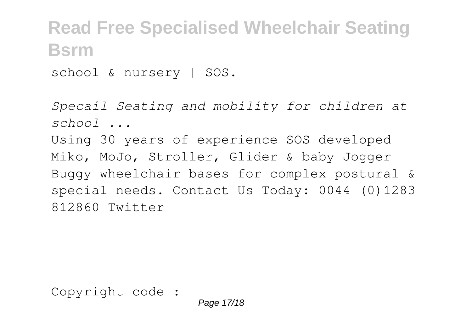school & nursery | SOS.

*Specail Seating and mobility for children at school ...*

Using 30 years of experience SOS developed Miko, MoJo, Stroller, Glider & baby Jogger Buggy wheelchair bases for complex postural & special needs. Contact Us Today: 0044 (0)1283 812860 Twitter

Copyright code :